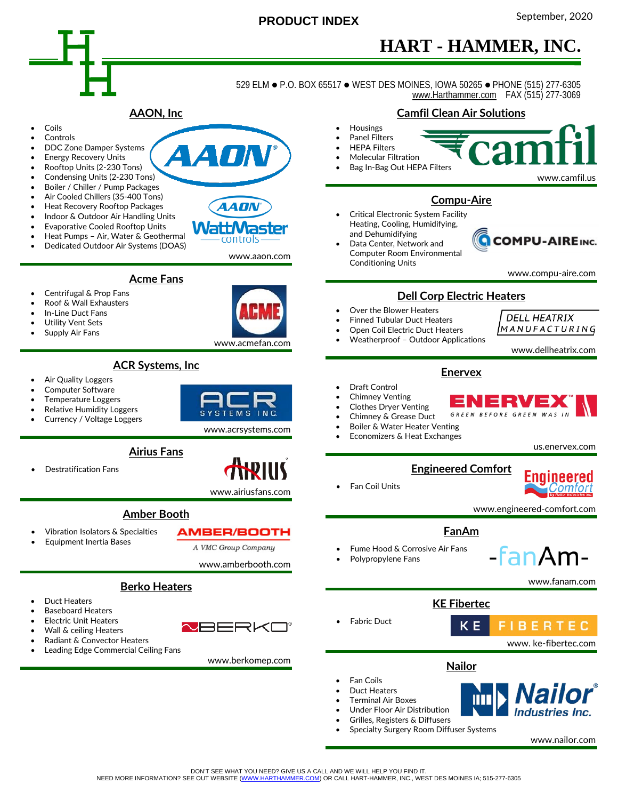

## September, <sup>2020</sup> **PRODUCT INDEX**

# **HART - HAMMER, INC.**

529 ELM · P.O. BOX 65517 · WEST DES MOINES, IOWA 50265 · PHONE (515) 277-6305  [www.Harthammer.com](http://www.harthammer.com/) FAX (515) 277-3069



• Specialty Surgery Room Diffuser Systems

www.nailor.com